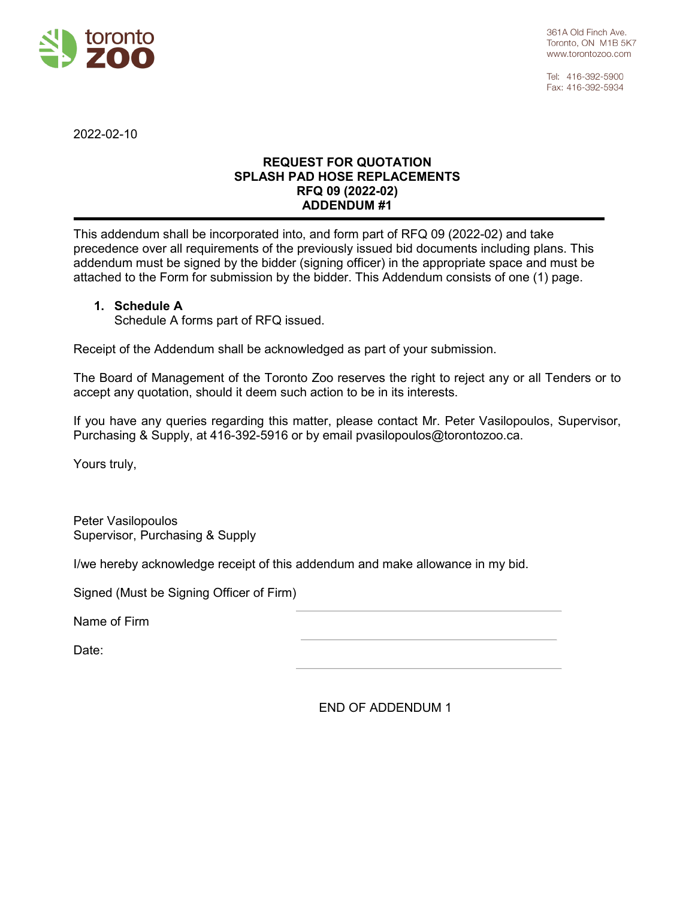

Tel: 416-392-5900 Fax: 416-392-5934

2022-02-10

## **REQUEST FOR QUOTATION SPLASH PAD HOSE REPLACEMENTS RFQ 09 (2022-02) ADDENDUM #1**

This addendum shall be incorporated into, and form part of RFQ 09 (2022-02) and take precedence over all requirements of the previously issued bid documents including plans. This addendum must be signed by the bidder (signing officer) in the appropriate space and must be attached to the Form for submission by the bidder. This Addendum consists of one (1) page.

## **1. Schedule A**

Schedule A forms part of RFQ issued.

Receipt of the Addendum shall be acknowledged as part of your submission.

The Board of Management of the Toronto Zoo reserves the right to reject any or all Tenders or to accept any quotation, should it deem such action to be in its interests.

If you have any queries regarding this matter, please contact Mr. Peter Vasilopoulos, Supervisor, Purchasing & Supply, at 416-392-5916 or by email pvasilopoulos@torontozoo.ca.

Yours truly,

Peter Vasilopoulos Supervisor, Purchasing & Supply

I/we hereby acknowledge receipt of this addendum and make allowance in my bid.

Signed (Must be Signing Officer of Firm)

Name of Firm

Date:

END OF ADDENDUM 1